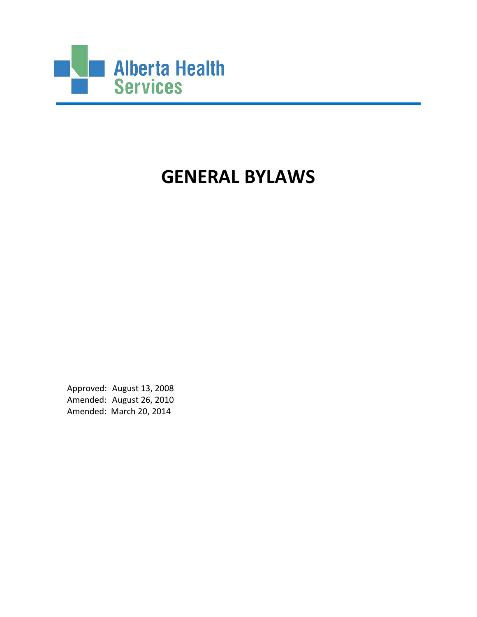

# **GENERAL BYLAWS**

Approved: August 13, 2008 Amended: August 26, 2010 Amended: March 20, 2014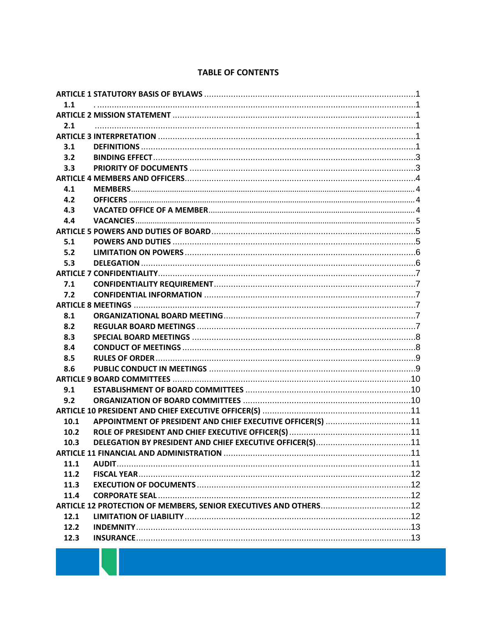#### **TABLE OF CONTENTS**

| 1.1  |  |  |  |
|------|--|--|--|
|      |  |  |  |
| 2.1  |  |  |  |
|      |  |  |  |
| 3.1  |  |  |  |
| 3.2  |  |  |  |
| 3.3  |  |  |  |
|      |  |  |  |
| 4.1  |  |  |  |
| 4.2  |  |  |  |
| 4.3  |  |  |  |
| 4.4  |  |  |  |
|      |  |  |  |
| 5.1  |  |  |  |
| 5.2  |  |  |  |
| 5.3  |  |  |  |
|      |  |  |  |
| 7.1  |  |  |  |
| 7.2  |  |  |  |
|      |  |  |  |
| 8.1  |  |  |  |
| 8.2  |  |  |  |
| 8.3  |  |  |  |
| 8.4  |  |  |  |
| 8.5  |  |  |  |
| 8.6  |  |  |  |
|      |  |  |  |
| 9.1  |  |  |  |
| 9.2  |  |  |  |
|      |  |  |  |
| 10.1 |  |  |  |
| 10.2 |  |  |  |
| 10.3 |  |  |  |
|      |  |  |  |
| 11.1 |  |  |  |
| 11.2 |  |  |  |
| 11.3 |  |  |  |
| 11.4 |  |  |  |
|      |  |  |  |
| 12.1 |  |  |  |
| 12.2 |  |  |  |
| 12.3 |  |  |  |
|      |  |  |  |

**Contract Contract**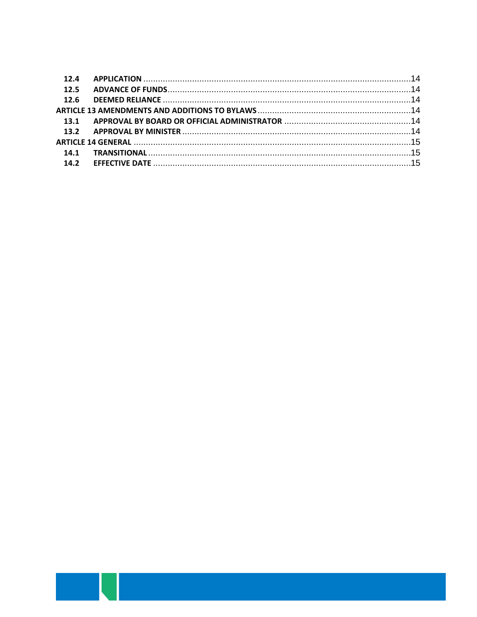| 12.5 |  |
|------|--|
|      |  |
|      |  |
|      |  |
|      |  |
|      |  |
|      |  |
| 14.2 |  |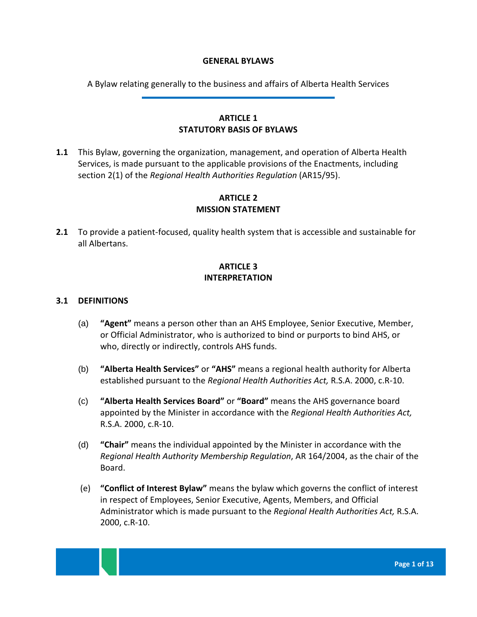#### **GENERAL BYLAWS**

A Bylaw relating generally to the business and affairs of Alberta Health Services

# **ARTICLE 1 STATUTORY BASIS OF BYLAWS**

<span id="page-3-1"></span><span id="page-3-0"></span>**1.1** This Bylaw, governing the organization, management, and operation of Alberta Health Services, is made pursuant to the applicable provisions of the Enactments, including section 2(1) of the *Regional Health Authorities Regulation* (AR15/95).

# **ARTICLE 2 MISSION STATEMENT**

<span id="page-3-4"></span><span id="page-3-3"></span><span id="page-3-2"></span>**2.1** To provide a patient-focused, quality health system that is accessible and sustainable for all Albertans.

# **ARTICLE 3 INTERPRETATION**

#### <span id="page-3-5"></span>**3.1 DEFINITIONS**

- (a) **"Agent"** means a person other than an AHS Employee, Senior Executive, Member, or Official Administrator, who is authorized to bind or purports to bind AHS, or who, directly or indirectly, controls AHS funds.
- (b) **"Alberta Health Services"** or **"AHS"** means a regional health authority for Alberta established pursuant to the *Regional Health Authorities Act,* R.S.A. 2000, c.R-10.
- (c) **"Alberta Health Services Board"** or **"Board"** means the AHS governance board appointed by the Minister in accordance with the *Regional Health Authorities Act,* R.S.A. 2000, c.R-10.
- (d) **"Chair"** means the individual appointed by the Minister in accordance with the *Regional Health Authority Membership Regulation*, AR 164/2004, as the chair of the Board.
- (e) **"Conflict of Interest Bylaw"** means the bylaw which governs the conflict of interest in respect of Employees, Senior Executive, Agents, Members, and Official Administrator which is made pursuant to the *Regional Health Authorities Act,* R.S.A. 2000, c.R-10.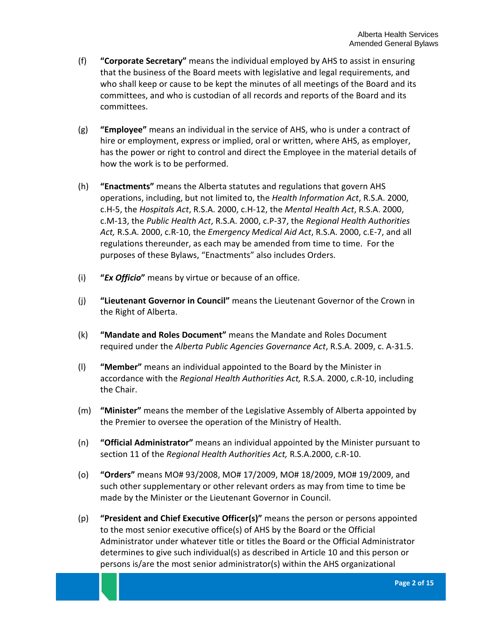- (f) **"Corporate Secretary"** means the individual employed by AHS to assist in ensuring that the business of the Board meets with legislative and legal requirements, and who shall keep or cause to be kept the minutes of all meetings of the Board and its committees, and who is custodian of all records and reports of the Board and its committees.
- (g) **"Employee"** means an individual in the service of AHS, who is under a contract of hire or employment, express or implied, oral or written, where AHS, as employer, has the power or right to control and direct the Employee in the material details of how the work is to be performed.
- (h) **"Enactments"** means the Alberta statutes and regulations that govern AHS operations, including, but not limited to, the *Health Information Act*, R.S.A. 2000, c.H-5, the *Hospitals Act*, R.S.A. 2000, c.H-12, the *Mental Health Act*, R.S.A. 2000, c.M-13, the *Public Health Act*, R.S.A. 2000, c.P-37, the *Regional Health Authorities Act,* R.S.A. 2000, c.R-10, the *Emergency Medical Aid Act*, R.S.A. 2000, c.E-7, and all regulations thereunder, as each may be amended from time to time. For the purposes of these Bylaws, "Enactments" also includes Orders.
- (i) **"***Ex Officio***"** means by virtue or because of an office.
- (j) **"Lieutenant Governor in Council"** means the Lieutenant Governor of the Crown in the Right of Alberta.
- (k) **"Mandate and Roles Document"** means the Mandate and Roles Document required under the *Alberta Public Agencies Governance Act*, R.S.A. 2009, c. A-31.5.
- (l) **"Member"** means an individual appointed to the Board by the Minister in accordance with the *Regional Health Authorities Act,* R.S.A. 2000, c.R-10, including the Chair.
- (m) **"Minister"** means the member of the Legislative Assembly of Alberta appointed by the Premier to oversee the operation of the Ministry of Health.
- (n) **"Official Administrator"** means an individual appointed by the Minister pursuant to section 11 of the *Regional Health Authorities Act,* R.S.A.2000, c.R-10.
- (o) **"Orders"** means MO# 93/2008, MO# 17/2009, MO# 18/2009, MO# 19/2009, and such other supplementary or other relevant orders as may from time to time be made by the Minister or the Lieutenant Governor in Council.
- (p) **"President and Chief Executive Officer(s)"** means the person or persons appointed to the most senior executive office(s) of AHS by the Board or the Official Administrator under whatever title or titles the Board or the Official Administrator determines to give such individual(s) as described in Article 10 and this person or persons is/are the most senior administrator(s) within the AHS organizational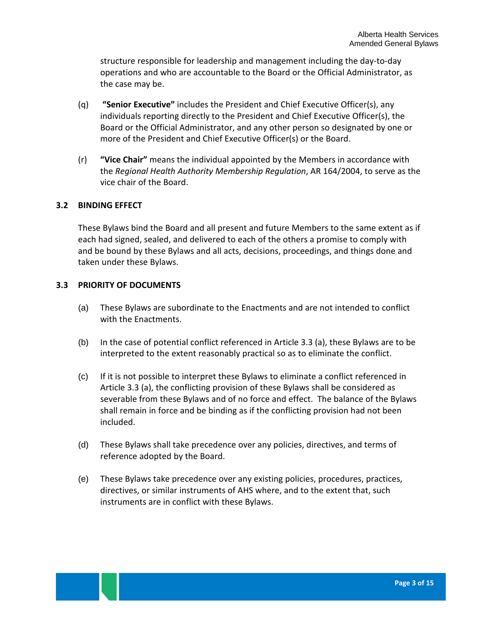structure responsible for leadership and management including the day-to-day operations and who are accountable to the Board or the Official Administrator, as the case may be.

- (q) **"Senior Executive"** includes the President and Chief Executive Officer(s), any individuals reporting directly to the President and Chief Executive Officer(s), the Board or the Official Administrator, and any other person so designated by one or more of the President and Chief Executive Officer(s) or the Board.
- (r) **"Vice Chair"** means the individual appointed by the Members in accordance with the *Regional Health Authority Membership Regulation*, AR 164/2004, to serve as the vice chair of the Board.

## <span id="page-5-0"></span>**3.2 BINDING EFFECT**

These Bylaws bind the Board and all present and future Members to the same extent as if each had signed, sealed, and delivered to each of the others a promise to comply with and be bound by these Bylaws and all acts, decisions, proceedings, and things done and taken under these Bylaws.

## <span id="page-5-2"></span><span id="page-5-1"></span>**3.3 PRIORITY OF DOCUMENTS**

- (a) These Bylaws are subordinate to the Enactments and are not intended to conflict with the Enactments.
- (b) In the case of potential conflict referenced in Article [3.3](#page-5-1) [\(a\),](#page-5-2) these Bylaws are to be interpreted to the extent reasonably practical so as to eliminate the conflict.
- (c) If it is not possible to interpret these Bylaws to eliminate a conflict referenced in Article [3.3](#page-5-1) [\(a\),](#page-5-2) the conflicting provision of these Bylaws shall be considered as severable from these Bylaws and of no force and effect. The balance of the Bylaws shall remain in force and be binding as if the conflicting provision had not been included.
- (d) These Bylaws shall take precedence over any policies, directives, and terms of reference adopted by the Board.
- (e) These Bylaws take precedence over any existing policies, procedures, practices, directives, or similar instruments of AHS where, and to the extent that, such instruments are in conflict with these Bylaws.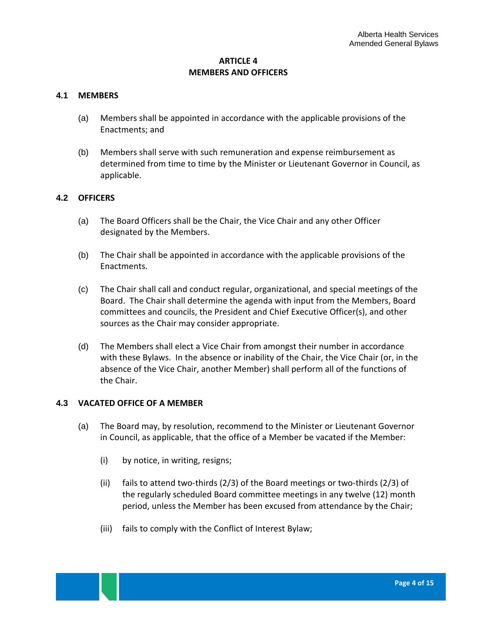## **ARTICLE 4 MEMBERS AND OFFICERS**

#### <span id="page-6-1"></span><span id="page-6-0"></span>**4.1 MEMBERS**

- (a) Members shall be appointed in accordance with the applicable provisions of the Enactments; and
- (b) Members shall serve with such remuneration and expense reimbursement as determined from time to time by the Minister or Lieutenant Governor in Council, as applicable.

#### <span id="page-6-2"></span>**4.2 OFFICERS**

- (a) The Board Officers shall be the Chair, the Vice Chair and any other Officer designated by the Members.
- (b) The Chair shall be appointed in accordance with the applicable provisions of the Enactments.
- (c) The Chair shall call and conduct regular, organizational, and special meetings of the Board. The Chair shall determine the agenda with input from the Members, Board committees and councils, the President and Chief Executive Officer(s), and other sources as the Chair may consider appropriate.
- (d) The Members shall elect a Vice Chair from amongst their number in accordance with these Bylaws. In the absence or inability of the Chair, the Vice Chair (or, in the absence of the Vice Chair, another Member) shall perform all of the functions of the Chair.

#### <span id="page-6-3"></span>**4.3 VACATED OFFICE OF A MEMBER**

- (a) The Board may, by resolution, recommend to the Minister or Lieutenant Governor in Council, as applicable, that the office of a Member be vacated if the Member:
	- (i) by notice, in writing, resigns;
	- (ii) fails to attend two-thirds (2/3) of the Board meetings or two-thirds (2/3) of the regularly scheduled Board committee meetings in any twelve (12) month period, unless the Member has been excused from attendance by the Chair;
	- (iii) fails to comply with the Conflict of Interest Bylaw;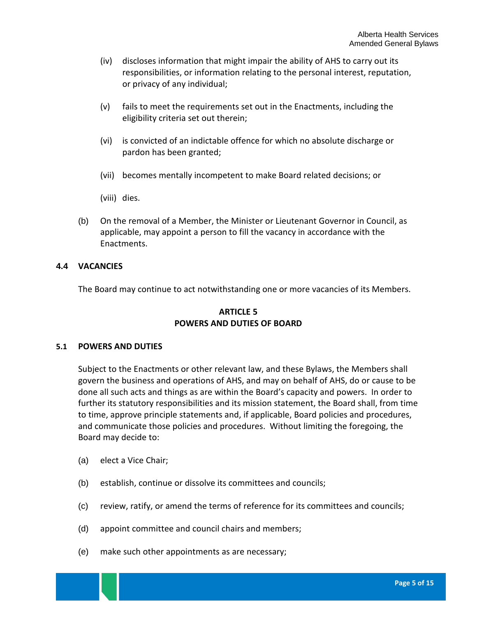- (iv) discloses information that might impair the ability of AHS to carry out its responsibilities, or information relating to the personal interest, reputation, or privacy of any individual;
- (v) fails to meet the requirements set out in the Enactments, including the eligibility criteria set out therein;
- (vi) is convicted of an indictable offence for which no absolute discharge or pardon has been granted;
- (vii) becomes mentally incompetent to make Board related decisions; or
- (viii) dies.
- (b) On the removal of a Member, the Minister or Lieutenant Governor in Council, as applicable, may appoint a person to fill the vacancy in accordance with the Enactments.

## <span id="page-7-0"></span>**4.4 VACANCIES**

<span id="page-7-1"></span>The Board may continue to act notwithstanding one or more vacancies of its Members.

# **ARTICLE 5 POWERS AND DUTIES OF BOARD**

#### <span id="page-7-2"></span>**5.1 POWERS AND DUTIES**

Subject to the Enactments or other relevant law, and these Bylaws, the Members shall govern the business and operations of AHS, and may on behalf of AHS, do or cause to be done all such acts and things as are within the Board's capacity and powers. In order to further its statutory responsibilities and its mission statement, the Board shall, from time to time, approve principle statements and, if applicable, Board policies and procedures, and communicate those policies and procedures. Without limiting the foregoing, the Board may decide to:

- (a) elect a Vice Chair;
- (b) establish, continue or dissolve its committees and councils;
- (c) review, ratify, or amend the terms of reference for its committees and councils;
- (d) appoint committee and council chairs and members;
- (e) make such other appointments as are necessary;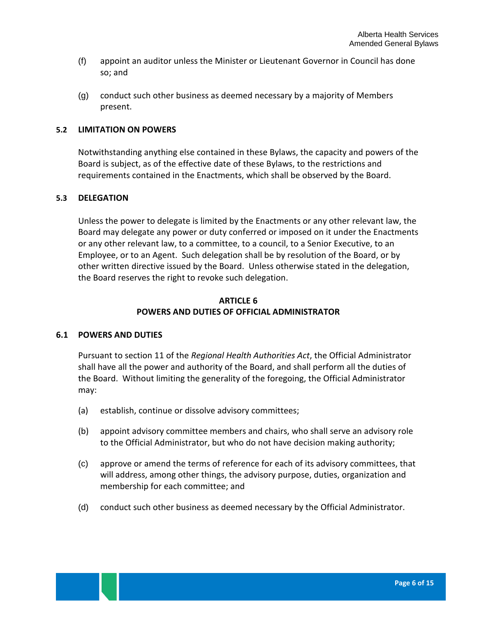- (f) appoint an auditor unless the Minister or Lieutenant Governor in Council has done so; and
- (g) conduct such other business as deemed necessary by a majority of Members present.

### <span id="page-8-0"></span>**5.2 LIMITATION ON POWERS**

Notwithstanding anything else contained in these Bylaws, the capacity and powers of the Board is subject, as of the effective date of these Bylaws, to the restrictions and requirements contained in the Enactments, which shall be observed by the Board.

#### <span id="page-8-1"></span>**5.3 DELEGATION**

Unless the power to delegate is limited by the Enactments or any other relevant law, the Board may delegate any power or duty conferred or imposed on it under the Enactments or any other relevant law, to a committee, to a council, to a Senior Executive, to an Employee, or to an Agent. Such delegation shall be by resolution of the Board, or by other written directive issued by the Board. Unless otherwise stated in the delegation, the Board reserves the right to revoke such delegation.

## **ARTICLE 6 POWERS AND DUTIES OF OFFICIAL ADMINISTRATOR**

## **6.1 POWERS AND DUTIES**

Pursuant to section 11 of the *Regional Health Authorities Act*, the Official Administrator shall have all the power and authority of the Board, and shall perform all the duties of the Board. Without limiting the generality of the foregoing, the Official Administrator may:

- (a) establish, continue or dissolve advisory committees;
- (b) appoint advisory committee members and chairs, who shall serve an advisory role to the Official Administrator, but who do not have decision making authority;
- (c) approve or amend the terms of reference for each of its advisory committees, that will address, among other things, the advisory purpose, duties, organization and membership for each committee; and
- (d) conduct such other business as deemed necessary by the Official Administrator.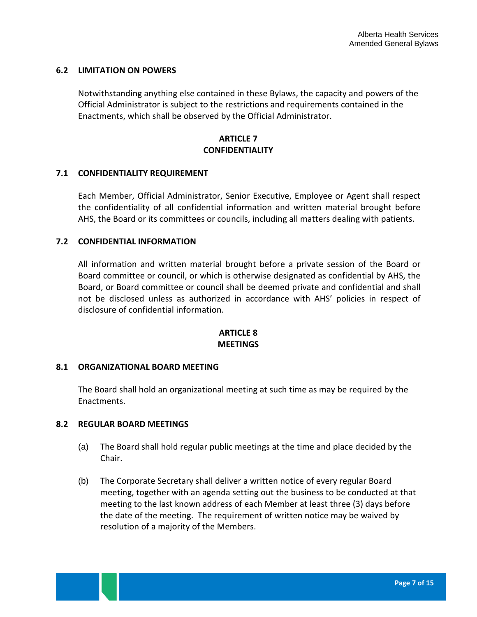## **6.2 LIMITATION ON POWERS**

Notwithstanding anything else contained in these Bylaws, the capacity and powers of the Official Administrator is subject to the restrictions and requirements contained in the Enactments, which shall be observed by the Official Administrator.

## **ARTICLE 7 CONFIDENTIALITY**

#### <span id="page-9-1"></span><span id="page-9-0"></span>**7.1 CONFIDENTIALITY REQUIREMENT**

Each Member, Official Administrator, Senior Executive, Employee or Agent shall respect the confidentiality of all confidential information and written material brought before AHS, the Board or its committees or councils, including all matters dealing with patients.

## <span id="page-9-2"></span>**7.2 CONFIDENTIAL INFORMATION**

All information and written material brought before a private session of the Board or Board committee or council, or which is otherwise designated as confidential by AHS, the Board, or Board committee or council shall be deemed private and confidential and shall not be disclosed unless as authorized in accordance with AHS' policies in respect of disclosure of confidential information.

#### **ARTICLE 8 MEETINGS**

#### <span id="page-9-4"></span><span id="page-9-3"></span>**8.1 ORGANIZATIONAL BOARD MEETING**

The Board shall hold an organizational meeting at such time as may be required by the Enactments.

#### <span id="page-9-5"></span>**8.2 REGULAR BOARD MEETINGS**

- (a) The Board shall hold regular public meetings at the time and place decided by the Chair.
- (b) The Corporate Secretary shall deliver a written notice of every regular Board meeting, together with an agenda setting out the business to be conducted at that meeting to the last known address of each Member at least three (3) days before the date of the meeting. The requirement of written notice may be waived by resolution of a majority of the Members.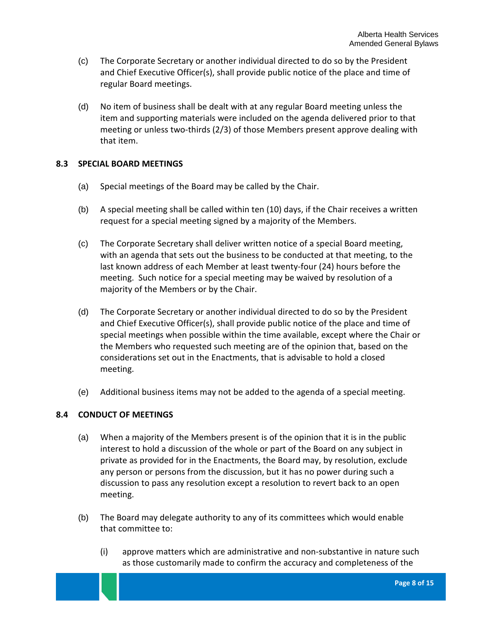- (c) The Corporate Secretary or another individual directed to do so by the President and Chief Executive Officer(s), shall provide public notice of the place and time of regular Board meetings.
- (d) No item of business shall be dealt with at any regular Board meeting unless the item and supporting materials were included on the agenda delivered prior to that meeting or unless two-thirds (2/3) of those Members present approve dealing with that item.

## <span id="page-10-0"></span>**8.3 SPECIAL BOARD MEETINGS**

- (a) Special meetings of the Board may be called by the Chair.
- (b) A special meeting shall be called within ten (10) days, if the Chair receives a written request for a special meeting signed by a majority of the Members.
- (c) The Corporate Secretary shall deliver written notice of a special Board meeting, with an agenda that sets out the business to be conducted at that meeting, to the last known address of each Member at least twenty-four (24) hours before the meeting. Such notice for a special meeting may be waived by resolution of a majority of the Members or by the Chair.
- (d) The Corporate Secretary or another individual directed to do so by the President and Chief Executive Officer(s), shall provide public notice of the place and time of special meetings when possible within the time available, except where the Chair or the Members who requested such meeting are of the opinion that, based on the considerations set out in the Enactments, that is advisable to hold a closed meeting.
- (e) Additional business items may not be added to the agenda of a special meeting.

## <span id="page-10-1"></span>**8.4 CONDUCT OF MEETINGS**

- (a) When a majority of the Members present is of the opinion that it is in the public interest to hold a discussion of the whole or part of the Board on any subject in private as provided for in the Enactments, the Board may, by resolution, exclude any person or persons from the discussion, but it has no power during such a discussion to pass any resolution except a resolution to revert back to an open meeting.
- (b) The Board may delegate authority to any of its committees which would enable that committee to:
	- (i) approve matters which are administrative and non-substantive in nature such as those customarily made to confirm the accuracy and completeness of the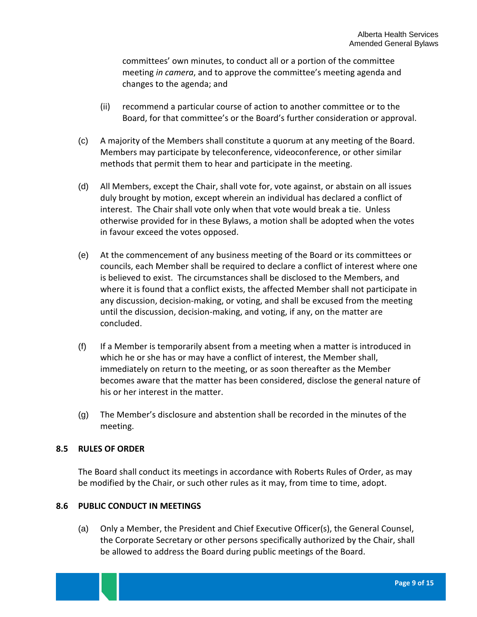committees' own minutes, to conduct all or a portion of the committee meeting *in camera*, and to approve the committee's meeting agenda and changes to the agenda; and

- (ii) recommend a particular course of action to another committee or to the Board, for that committee's or the Board's further consideration or approval.
- (c) A majority of the Members shall constitute a quorum at any meeting of the Board. Members may participate by teleconference, videoconference, or other similar methods that permit them to hear and participate in the meeting.
- (d) All Members, except the Chair, shall vote for, vote against, or abstain on all issues duly brought by motion, except wherein an individual has declared a conflict of interest. The Chair shall vote only when that vote would break a tie. Unless otherwise provided for in these Bylaws, a motion shall be adopted when the votes in favour exceed the votes opposed.
- (e) At the commencement of any business meeting of the Board or its committees or councils, each Member shall be required to declare a conflict of interest where one is believed to exist. The circumstances shall be disclosed to the Members, and where it is found that a conflict exists, the affected Member shall not participate in any discussion, decision-making, or voting, and shall be excused from the meeting until the discussion, decision-making, and voting, if any, on the matter are concluded.
- (f) If a Member is temporarily absent from a meeting when a matter is introduced in which he or she has or may have a conflict of interest, the Member shall, immediately on return to the meeting, or as soon thereafter as the Member becomes aware that the matter has been considered, disclose the general nature of his or her interest in the matter.
- (g) The Member's disclosure and abstention shall be recorded in the minutes of the meeting.

## <span id="page-11-0"></span>**8.5 RULES OF ORDER**

The Board shall conduct its meetings in accordance with Roberts Rules of Order, as may be modified by the Chair, or such other rules as it may, from time to time, adopt.

#### <span id="page-11-1"></span>**8.6 PUBLIC CONDUCT IN MEETINGS**

(a) Only a Member, the President and Chief Executive Officer(s), the General Counsel, the Corporate Secretary or other persons specifically authorized by the Chair, shall be allowed to address the Board during public meetings of the Board.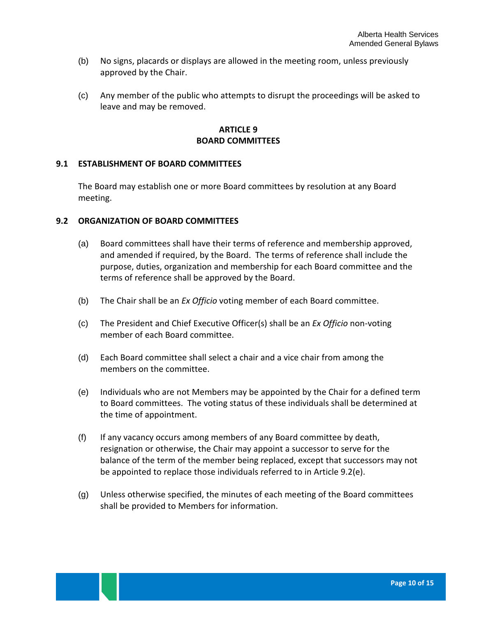- (b) No signs, placards or displays are allowed in the meeting room, unless previously approved by the Chair.
- (c) Any member of the public who attempts to disrupt the proceedings will be asked to leave and may be removed.

## **ARTICLE 9 BOARD COMMITTEES**

## <span id="page-12-1"></span><span id="page-12-0"></span>**9.1 ESTABLISHMENT OF BOARD COMMITTEES**

The Board may establish one or more Board committees by resolution at any Board meeting.

#### <span id="page-12-2"></span>**9.2 ORGANIZATION OF BOARD COMMITTEES**

- (a) Board committees shall have their terms of reference and membership approved, and amended if required, by the Board. The terms of reference shall include the purpose, duties, organization and membership for each Board committee and the terms of reference shall be approved by the Board.
- (b) The Chair shall be an *Ex Officio* voting member of each Board committee.
- (c) The President and Chief Executive Officer(s) shall be an *Ex Officio* non-voting member of each Board committee.
- (d) Each Board committee shall select a chair and a vice chair from among the members on the committee.
- <span id="page-12-3"></span>(e) Individuals who are not Members may be appointed by the Chair for a defined term to Board committees. The voting status of these individuals shall be determined at the time of appointment.
- (f) If any vacancy occurs among members of any Board committee by death, resignation or otherwise, the Chair may appoint a successor to serve for the balance of the term of the member being replaced, except that successors may not be appointed to replace those individuals referred to in Article 9.[2\(e\).](#page-12-3)
- (g) Unless otherwise specified, the minutes of each meeting of the Board committees shall be provided to Members for information.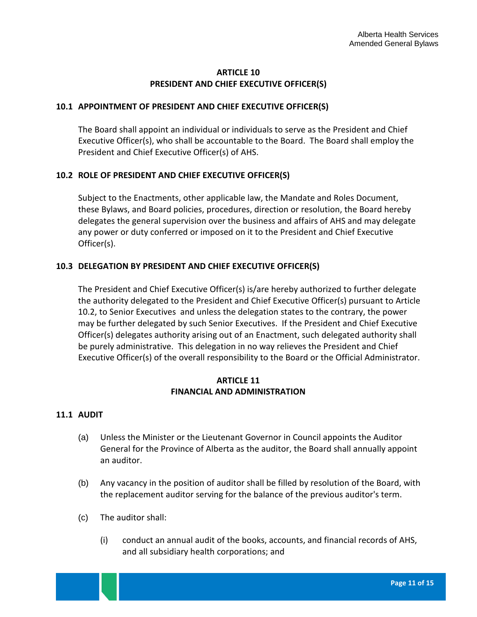# **ARTICLE 10 PRESIDENT AND CHIEF EXECUTIVE OFFICER(S)**

## <span id="page-13-1"></span><span id="page-13-0"></span>**10.1 APPOINTMENT OF PRESIDENT AND CHIEF EXECUTIVE OFFICER(S)**

The Board shall appoint an individual or individuals to serve as the President and Chief Executive Officer(s), who shall be accountable to the Board. The Board shall employ the President and Chief Executive Officer(s) of AHS.

## <span id="page-13-2"></span>**10.2 ROLE OF PRESIDENT AND CHIEF EXECUTIVE OFFICER(S)**

Subject to the Enactments, other applicable law, the Mandate and Roles Document, these Bylaws, and Board policies, procedures, direction or resolution, the Board hereby delegates the general supervision over the business and affairs of AHS and may delegate any power or duty conferred or imposed on it to the President and Chief Executive Officer(s).

## <span id="page-13-3"></span>**10.3 DELEGATION BY PRESIDENT AND CHIEF EXECUTIVE OFFICER(S)**

The President and Chief Executive Officer(s) is/are hereby authorized to further delegate the authority delegated to the President and Chief Executive Officer(s) pursuant to Article 10.2, to Senior Executives and unless the delegation states to the contrary, the power may be further delegated by such Senior Executives. If the President and Chief Executive Officer(s) delegates authority arising out of an Enactment, such delegated authority shall be purely administrative. This delegation in no way relieves the President and Chief Executive Officer(s) of the overall responsibility to the Board or the Official Administrator.

## **ARTICLE 11 FINANCIAL AND ADMINISTRATION**

#### <span id="page-13-5"></span><span id="page-13-4"></span>**11.1 AUDIT**

- (a) Unless the Minister or the Lieutenant Governor in Council appoints the Auditor General for the Province of Alberta as the auditor, the Board shall annually appoint an auditor.
- (b) Any vacancy in the position of auditor shall be filled by resolution of the Board, with the replacement auditor serving for the balance of the previous auditor's term.
- (c) The auditor shall:
	- (i) conduct an annual audit of the books, accounts, and financial records of AHS, and all subsidiary health corporations; and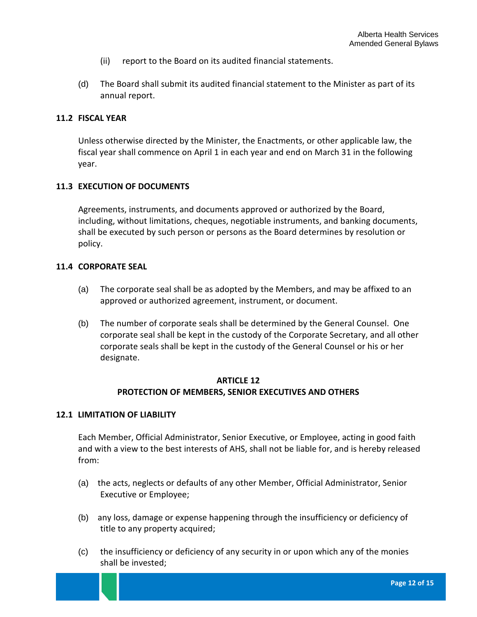- (ii) report to the Board on its audited financial statements.
- (d) The Board shall submit its audited financial statement to the Minister as part of its annual report.

#### <span id="page-14-0"></span>**11.2 FISCAL YEAR**

Unless otherwise directed by the Minister, the Enactments, or other applicable law, the fiscal year shall commence on April 1 in each year and end on March 31 in the following year.

#### <span id="page-14-1"></span>**11.3 EXECUTION OF DOCUMENTS**

Agreements, instruments, and documents approved or authorized by the Board, including, without limitations, cheques, negotiable instruments, and banking documents, shall be executed by such person or persons as the Board determines by resolution or policy.

#### <span id="page-14-2"></span>**11.4 CORPORATE SEAL**

- (a) The corporate seal shall be as adopted by the Members, and may be affixed to an approved or authorized agreement, instrument, or document.
- (b) The number of corporate seals shall be determined by the General Counsel. One corporate seal shall be kept in the custody of the Corporate Secretary, and all other corporate seals shall be kept in the custody of the General Counsel or his or her designate.

### **ARTICLE 12 PROTECTION OF MEMBERS, SENIOR EXECUTIVES AND OTHERS**

#### <span id="page-14-4"></span><span id="page-14-3"></span>**12.1 LIMITATION OF LIABILITY**

Each Member, Official Administrator, Senior Executive, or Employee, acting in good faith and with a view to the best interests of AHS, shall not be liable for, and is hereby released from:

- (a) the acts, neglects or defaults of any other Member, Official Administrator, Senior Executive or Employee;
- (b) any loss, damage or expense happening through the insufficiency or deficiency of title to any property acquired;
- (c) the insufficiency or deficiency of any security in or upon which any of the monies shall be invested;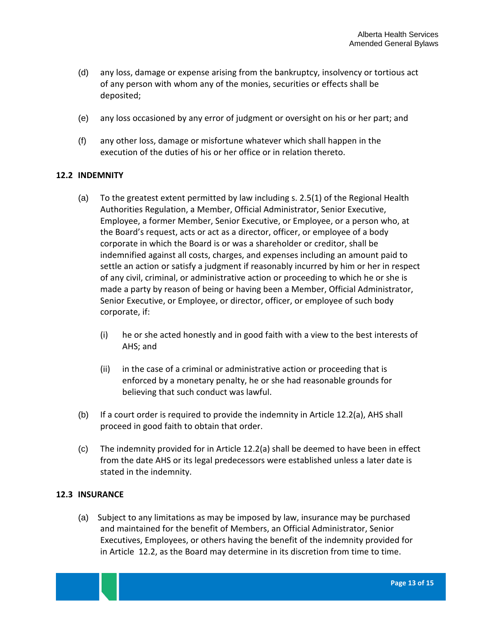- (d) any loss, damage or expense arising from the bankruptcy, insolvency or tortious act of any person with whom any of the monies, securities or effects shall be deposited;
- (e) any loss occasioned by any error of judgment or oversight on his or her part; and
- (f) any other loss, damage or misfortune whatever which shall happen in the execution of the duties of his or her office or in relation thereto.

## <span id="page-15-0"></span>**12.2 INDEMNITY**

- (a) To the greatest extent permitted by law including s. 2.5(1) of the Regional Health Authorities Regulation, a Member, Official Administrator, Senior Executive, Employee, a former Member, Senior Executive, or Employee, or a person who, at the Board's request, acts or act as a director, officer, or employee of a body corporate in which the Board is or was a shareholder or creditor, shall be indemnified against all costs, charges, and expenses including an amount paid to settle an action or satisfy a judgment if reasonably incurred by him or her in respect of any civil, criminal, or administrative action or proceeding to which he or she is made a party by reason of being or having been a Member, Official Administrator, Senior Executive, or Employee, or director, officer, or employee of such body corporate, if:
	- (i) he or she acted honestly and in good faith with a view to the best interests of AHS; and
	- (ii) in the case of a criminal or administrative action or proceeding that is enforced by a monetary penalty, he or she had reasonable grounds for believing that such conduct was lawful.
- (b) If a court order is required to provide the indemnity in Article 12.2(a), AHS shall proceed in good faith to obtain that order.
- (c) The indemnity provided for in Article 12.2(a) shall be deemed to have been in effect from the date AHS or its legal predecessors were established unless a later date is stated in the indemnity.

#### <span id="page-15-1"></span>**12.3 INSURANCE**

(a) Subject to any limitations as may be imposed by law, insurance may be purchased and maintained for the benefit of Members, an Official Administrator, Senior Executives, Employees, or others having the benefit of the indemnity provided for in Article 12.2, as the Board may determine in its discretion from time to time.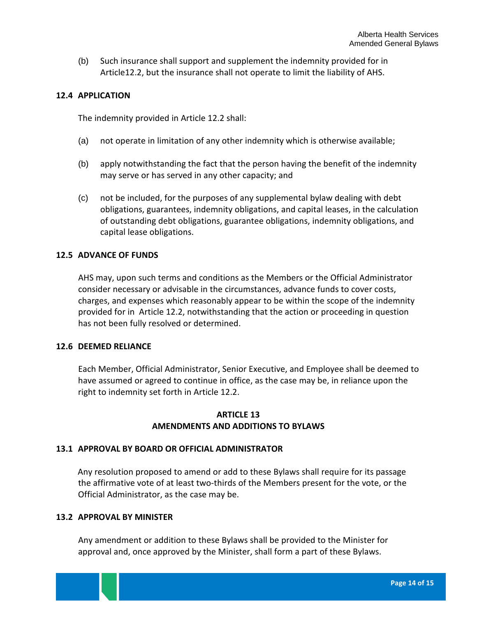(b) Such insurance shall support and supplement the indemnity provided for in Article12.2, but the insurance shall not operate to limit the liability of AHS.

### <span id="page-16-0"></span>**12.4 APPLICATION**

The indemnity provided in Article 12.2 shall:

- (a) not operate in limitation of any other indemnity which is otherwise available;
- (b) apply notwithstanding the fact that the person having the benefit of the indemnity may serve or has served in any other capacity; and
- (c) not be included, for the purposes of any supplemental bylaw dealing with debt obligations, guarantees, indemnity obligations, and capital leases, in the calculation of outstanding debt obligations, guarantee obligations, indemnity obligations, and capital lease obligations.

## <span id="page-16-1"></span>**12.5 ADVANCE OF FUNDS**

AHS may, upon such terms and conditions as the Members or the Official Administrator consider necessary or advisable in the circumstances, advance funds to cover costs, charges, and expenses which reasonably appear to be within the scope of the indemnity provided for in Article 12.2, notwithstanding that the action or proceeding in question has not been fully resolved or determined.

#### <span id="page-16-2"></span>**12.6 DEEMED RELIANCE**

Each Member, Official Administrator, Senior Executive, and Employee shall be deemed to have assumed or agreed to continue in office, as the case may be, in reliance upon the right to indemnity set forth in Article 12.2.

## **ARTICLE 13 AMENDMENTS AND ADDITIONS TO BYLAWS**

#### <span id="page-16-4"></span><span id="page-16-3"></span>**13.1 APPROVAL BY BOARD OR OFFICIAL ADMINISTRATOR**

Any resolution proposed to amend or add to these Bylaws shall require for its passage the affirmative vote of at least two-thirds of the Members present for the vote, or the Official Administrator, as the case may be.

#### <span id="page-16-5"></span>**13.2 APPROVAL BY MINISTER**

Any amendment or addition to these Bylaws shall be provided to the Minister for approval and, once approved by the Minister, shall form a part of these Bylaws.